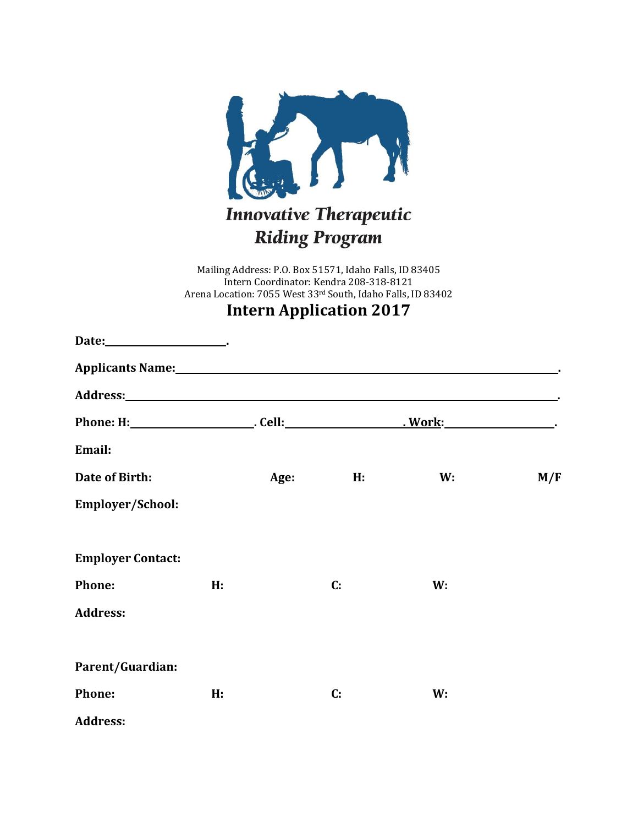

Mailing Address: P.O. Box 51571, Idaho Falls, ID 83405 Intern Coordinator: Kendra 208-318-8121 Arena Location: 7055 West 33rd South, Idaho Falls, ID 83402

## **Intern Application 2017**

| Applicants Name: 1988. The Contract of the Applicants Name:                                                                                                                                                                    |    |      |                |    |     |
|--------------------------------------------------------------------------------------------------------------------------------------------------------------------------------------------------------------------------------|----|------|----------------|----|-----|
| Address: Andreas Address: Address: Address: Address: Address: Address: Address: Address: Address: Address: Address: Address: Address: Address: Address: Address: Address: Address: Address: Address: Address: Address: Address |    |      |                |    |     |
|                                                                                                                                                                                                                                |    |      |                |    |     |
| Email:                                                                                                                                                                                                                         |    |      |                |    |     |
| Date of Birth:                                                                                                                                                                                                                 |    | Age: | H:             | W: | M/F |
| Employer/School:                                                                                                                                                                                                               |    |      |                |    |     |
| <b>Employer Contact:</b>                                                                                                                                                                                                       |    |      |                |    |     |
| Phone:                                                                                                                                                                                                                         | H: |      | $\mathbf{C}$ : | W: |     |
| <b>Address:</b>                                                                                                                                                                                                                |    |      |                |    |     |
| Parent/Guardian:                                                                                                                                                                                                               |    |      |                |    |     |
| Phone:                                                                                                                                                                                                                         | H: |      | $\mathbf{C}$ : | W: |     |
| <b>Address:</b>                                                                                                                                                                                                                |    |      |                |    |     |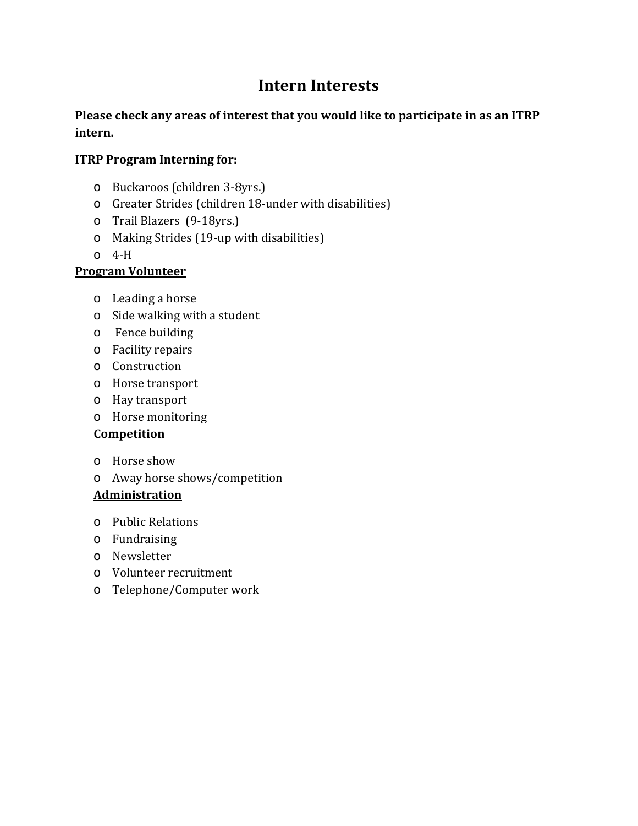# **Intern Interests**

## **Please check any areas of interest that you would like to participate in as an ITRP intern.**

## **ITRP Program Interning for:**

- o Buckaroos (children 3-8yrs.)
- o Greater Strides (children 18-under with disabilities)
- o Trail Blazers (9-18yrs.)
- o Making Strides (19-up with disabilities)
- o 4-H

## **Program Volunteer**

- o Leading a horse
- o Side walking with a student
- o Fence building
- o Facility repairs
- o Construction
- o Horse transport
- o Hay transport
- o Horse monitoring

## **Competition**

- o Horse show
- o Away horse shows/competition

## **Administration**

- o Public Relations
- o Fundraising
- o Newsletter
- o Volunteer recruitment
- o Telephone/Computer work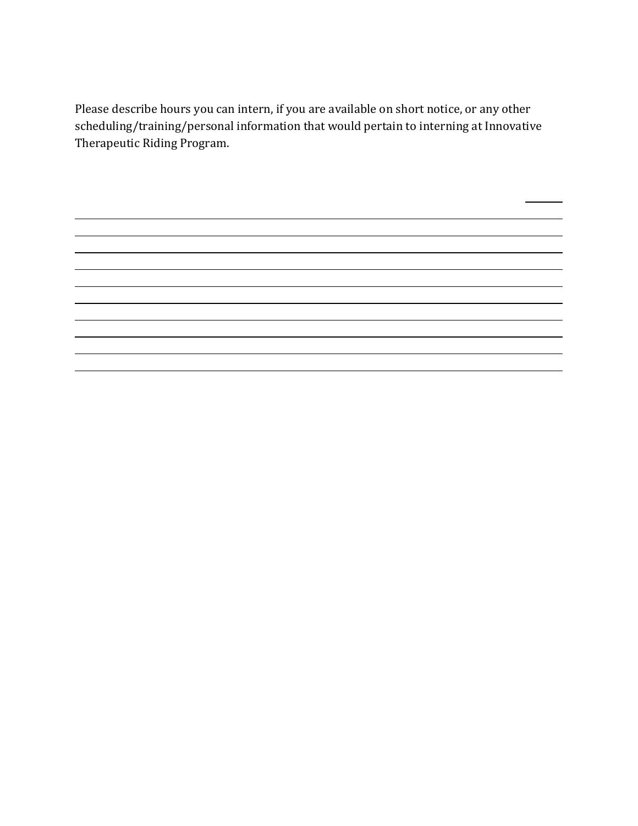Please describe hours you can intern, if you are available on short notice, or any other scheduling/training/personal information that would pertain to interning at Innovative Therapeutic Riding Program.

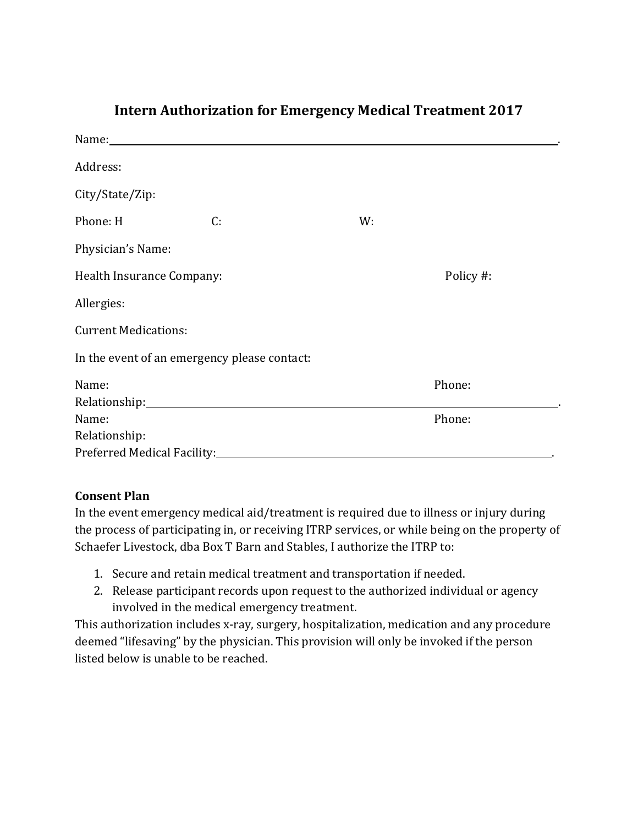| Name: Name and the state of the state of the state of the state of the state of the state of the state of the state of the state of the state of the state of the state of the state of the state of the state of the state of |    |    |           |  |  |  |  |
|--------------------------------------------------------------------------------------------------------------------------------------------------------------------------------------------------------------------------------|----|----|-----------|--|--|--|--|
| Address:                                                                                                                                                                                                                       |    |    |           |  |  |  |  |
| City/State/Zip:                                                                                                                                                                                                                |    |    |           |  |  |  |  |
| Phone: H                                                                                                                                                                                                                       | C: | W: |           |  |  |  |  |
| Physician's Name:                                                                                                                                                                                                              |    |    |           |  |  |  |  |
| Health Insurance Company:                                                                                                                                                                                                      |    |    | Policy #: |  |  |  |  |
| Allergies:                                                                                                                                                                                                                     |    |    |           |  |  |  |  |
| <b>Current Medications:</b>                                                                                                                                                                                                    |    |    |           |  |  |  |  |
| In the event of an emergency please contact:                                                                                                                                                                                   |    |    |           |  |  |  |  |
| Name:                                                                                                                                                                                                                          |    |    | Phone:    |  |  |  |  |
|                                                                                                                                                                                                                                |    |    |           |  |  |  |  |
| Name:                                                                                                                                                                                                                          |    |    | Phone:    |  |  |  |  |
| Relationship:                                                                                                                                                                                                                  |    |    |           |  |  |  |  |
|                                                                                                                                                                                                                                |    |    |           |  |  |  |  |

# **Intern Authorization for Emergency Medical Treatment 2017**

#### **Consent Plan**

In the event emergency medical aid/treatment is required due to illness or injury during the process of participating in, or receiving ITRP services, or while being on the property of Schaefer Livestock, dba Box T Barn and Stables, I authorize the ITRP to:

- 1. Secure and retain medical treatment and transportation if needed.
- 2. Release participant records upon request to the authorized individual or agency involved in the medical emergency treatment.

This authorization includes x-ray, surgery, hospitalization, medication and any procedure deemed "lifesaving" by the physician. This provision will only be invoked if the person listed below is unable to be reached.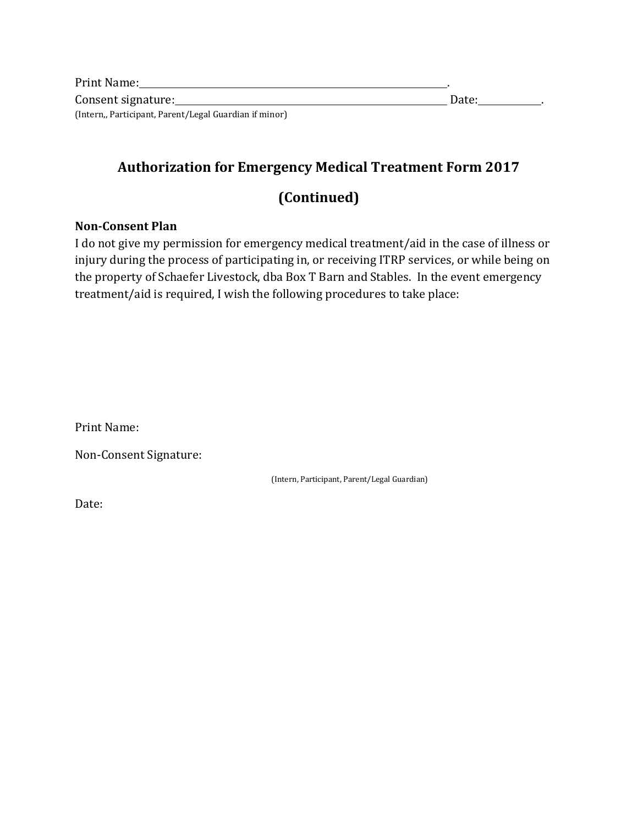| Print Name:                                            |       |
|--------------------------------------------------------|-------|
| Consent signature:                                     | Date: |
| (Intern,, Participant, Parent/Legal Guardian if minor) |       |

## **Authorization for Emergency Medical Treatment Form 2017**

## **(Continued)**

#### **Non-Consent Plan**

I do not give my permission for emergency medical treatment/aid in the case of illness or injury during the process of participating in, or receiving ITRP services, or while being on the property of Schaefer Livestock, dba Box T Barn and Stables. In the event emergency treatment/aid is required, I wish the following procedures to take place:

Print Name:

Non-Consent Signature:

(Intern, Participant, Parent/Legal Guardian)

Date: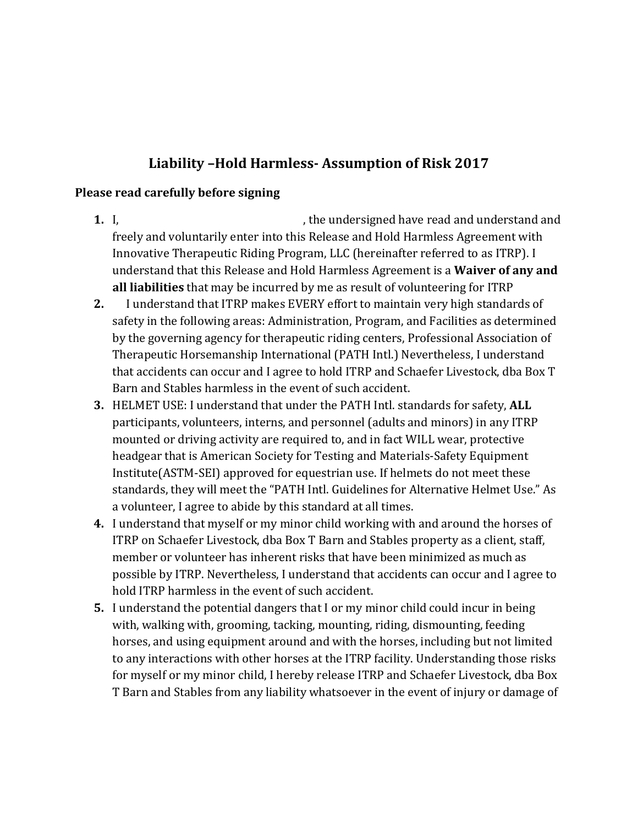## **Liability –Hold Harmless- Assumption of Risk 2017**

#### **Please read carefully before signing**

- **1.** I, **he undersigned have read and understand and** freely and voluntarily enter into this Release and Hold Harmless Agreement with Innovative Therapeutic Riding Program, LLC (hereinafter referred to as ITRP). I understand that this Release and Hold Harmless Agreement is a **Waiver of any and all liabilities** that may be incurred by me as result of volunteering for ITRP
- **2.** I understand that ITRP makes EVERY effort to maintain very high standards of safety in the following areas: Administration, Program, and Facilities as determined by the governing agency for therapeutic riding centers, Professional Association of Therapeutic Horsemanship International (PATH Intl.) Nevertheless, I understand that accidents can occur and I agree to hold ITRP and Schaefer Livestock, dba Box T Barn and Stables harmless in the event of such accident.
- **3.** HELMET USE: I understand that under the PATH Intl. standards for safety, **ALL**  participants, volunteers, interns, and personnel (adults and minors) in any ITRP mounted or driving activity are required to, and in fact WILL wear, protective headgear that is American Society for Testing and Materials-Safety Equipment Institute(ASTM-SEI) approved for equestrian use. If helmets do not meet these standards, they will meet the "PATH Intl. Guidelines for Alternative Helmet Use." As a volunteer, I agree to abide by this standard at all times.
- **4.** I understand that myself or my minor child working with and around the horses of ITRP on Schaefer Livestock, dba Box T Barn and Stables property as a client, staff, member or volunteer has inherent risks that have been minimized as much as possible by ITRP. Nevertheless, I understand that accidents can occur and I agree to hold ITRP harmless in the event of such accident.
- **5.** I understand the potential dangers that I or my minor child could incur in being with, walking with, grooming, tacking, mounting, riding, dismounting, feeding horses, and using equipment around and with the horses, including but not limited to any interactions with other horses at the ITRP facility. Understanding those risks for myself or my minor child, I hereby release ITRP and Schaefer Livestock, dba Box T Barn and Stables from any liability whatsoever in the event of injury or damage of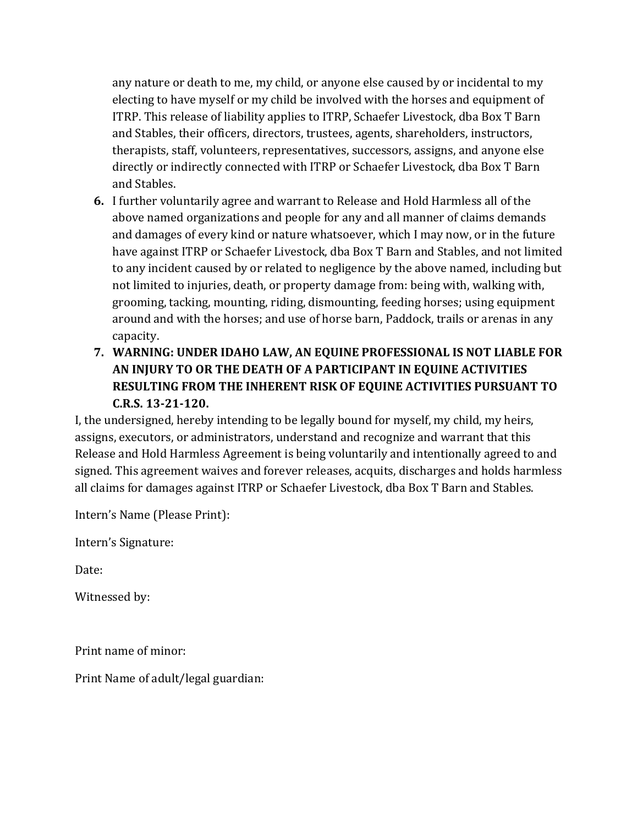any nature or death to me, my child, or anyone else caused by or incidental to my electing to have myself or my child be involved with the horses and equipment of ITRP. This release of liability applies to ITRP, Schaefer Livestock, dba Box T Barn and Stables, their officers, directors, trustees, agents, shareholders, instructors, therapists, staff, volunteers, representatives, successors, assigns, and anyone else directly or indirectly connected with ITRP or Schaefer Livestock, dba Box T Barn and Stables.

- **6.** I further voluntarily agree and warrant to Release and Hold Harmless all of the above named organizations and people for any and all manner of claims demands and damages of every kind or nature whatsoever, which I may now, or in the future have against ITRP or Schaefer Livestock, dba Box T Barn and Stables, and not limited to any incident caused by or related to negligence by the above named, including but not limited to injuries, death, or property damage from: being with, walking with, grooming, tacking, mounting, riding, dismounting, feeding horses; using equipment around and with the horses; and use of horse barn, Paddock, trails or arenas in any capacity.
- **7. WARNING: UNDER IDAHO LAW, AN EQUINE PROFESSIONAL IS NOT LIABLE FOR AN INJURY TO OR THE DEATH OF A PARTICIPANT IN EQUINE ACTIVITIES RESULTING FROM THE INHERENT RISK OF EQUINE ACTIVITIES PURSUANT TO C.R.S. 13-21-120.**

I, the undersigned, hereby intending to be legally bound for myself, my child, my heirs, assigns, executors, or administrators, understand and recognize and warrant that this Release and Hold Harmless Agreement is being voluntarily and intentionally agreed to and signed. This agreement waives and forever releases, acquits, discharges and holds harmless all claims for damages against ITRP or Schaefer Livestock, dba Box T Barn and Stables.

Intern's Name (Please Print):

Intern's Signature:

Date:

Witnessed by:

Print name of minor:

Print Name of adult/legal guardian: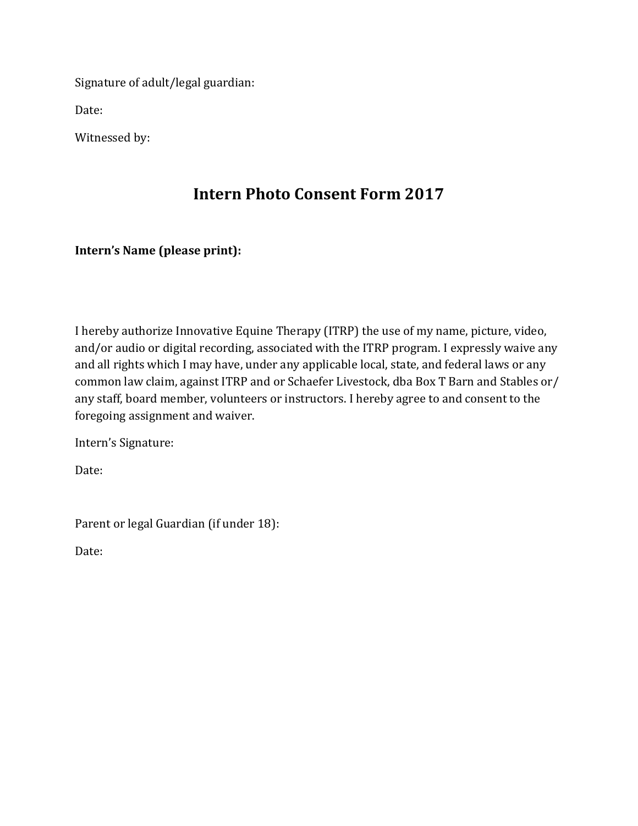Signature of adult/legal guardian:

Date:

Witnessed by:

# **Intern Photo Consent Form 2017**

### **Intern's Name (please print):**

I hereby authorize Innovative Equine Therapy (ITRP) the use of my name, picture, video, and/or audio or digital recording, associated with the ITRP program. I expressly waive any and all rights which I may have, under any applicable local, state, and federal laws or any common law claim, against ITRP and or Schaefer Livestock, dba Box T Barn and Stables or/ any staff, board member, volunteers or instructors. I hereby agree to and consent to the foregoing assignment and waiver.

Intern's Signature:

Date:

Parent or legal Guardian (if under 18):

Date: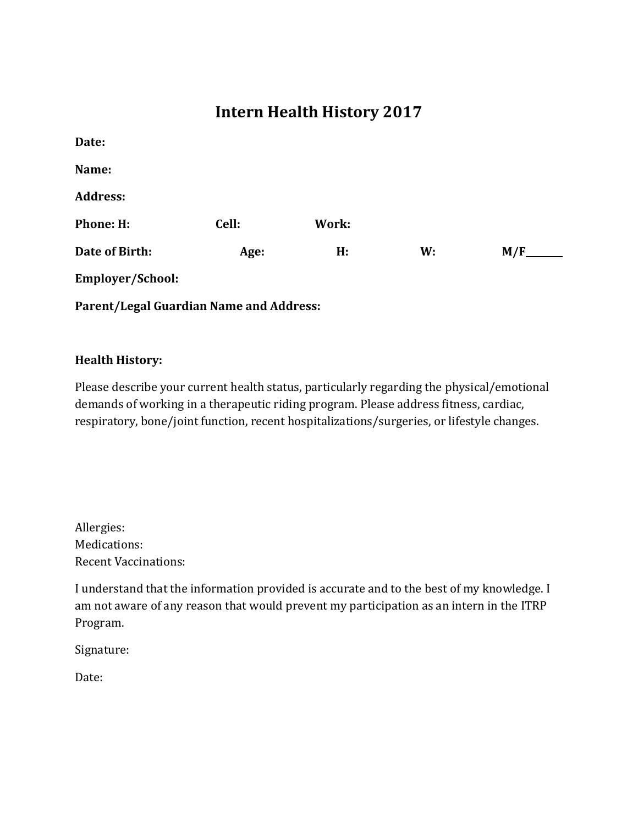# **Intern Health History 2017**

| Date:                                   |       |       |    |     |
|-----------------------------------------|-------|-------|----|-----|
| Name:                                   |       |       |    |     |
| <b>Address:</b>                         |       |       |    |     |
| <b>Phone: H:</b>                        | Cell: | Work: |    |     |
| Date of Birth:                          | Age:  | H:    | W: | M/F |
| Employer/School:                        |       |       |    |     |
| Parent/Legal Guardian Name and Address: |       |       |    |     |

#### **Health History:**

Please describe your current health status, particularly regarding the physical/emotional demands of working in a therapeutic riding program. Please address fitness, cardiac, respiratory, bone/joint function, recent hospitalizations/surgeries, or lifestyle changes.

Allergies: Medications: Recent Vaccinations:

I understand that the information provided is accurate and to the best of my knowledge. I am not aware of any reason that would prevent my participation as an intern in the ITRP Program.

Signature:

Date: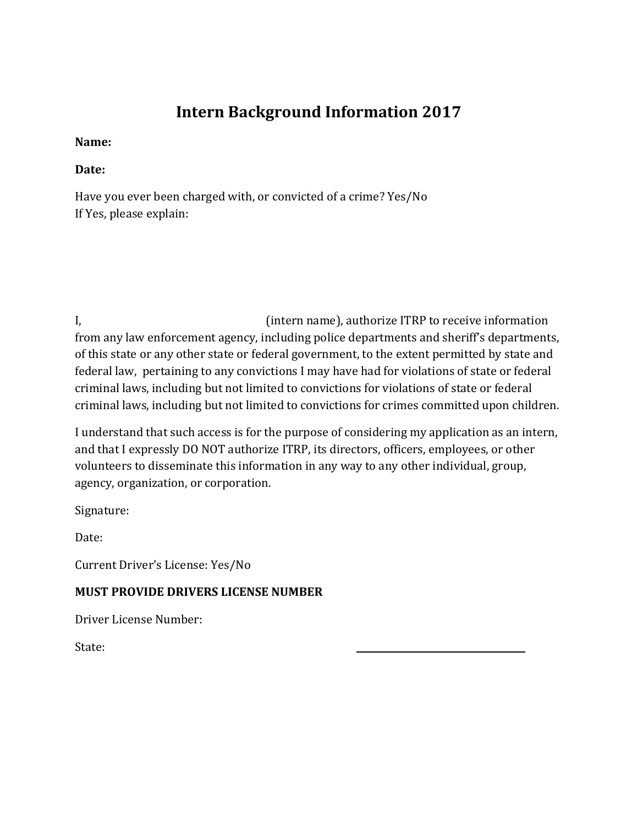# **Intern Background Information 2017**

### **Name:**

### **Date:**

Have you ever been charged with, or convicted of a crime? Yes/No If Yes, please explain:

I, (intern name), authorize ITRP to receive information from any law enforcement agency, including police departments and sheriff's departments, of this state or any other state or federal government, to the extent permitted by state and federal law, pertaining to any convictions I may have had for violations of state or federal criminal laws, including but not limited to convictions for violations of state or federal criminal laws, including but not limited to convictions for crimes committed upon children.

I understand that such access is for the purpose of considering my application as an intern, and that I expressly DO NOT authorize ITRP, its directors, officers, employees, or other volunteers to disseminate this information in any way to any other individual, group, agency, organization, or corporation.

Signature:

Date:

Current Driver's License: Yes/No

## **MUST PROVIDE DRIVERS LICENSE NUMBER**

Driver License Number:

State: